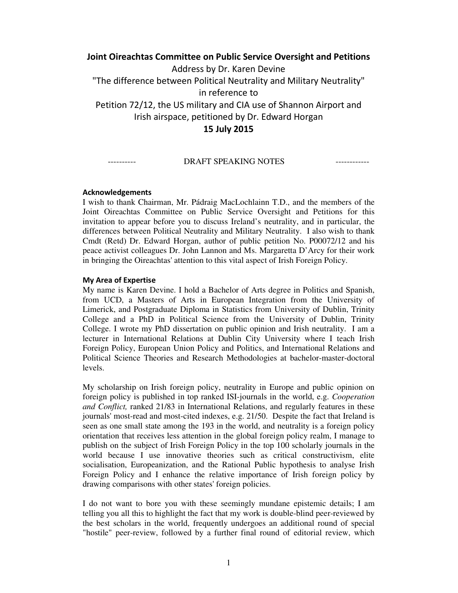# **Joint Oireachtas Committee on Public Service Oversight and Petitions**  Address by Dr. Karen Devine "The difference between Political Neutrality and Military Neutrality" in reference to Petition 72/12, the US military and CIA use of Shannon Airport and Irish airspace, petitioned by Dr. Edward Horgan **15 July 2015**

#### ---------- DRAFT SPEAKING NOTES ------------

#### **Acknowledgements**

I wish to thank Chairman, Mr. Pádraig MacLochlainn T.D., and the members of the Joint Oireachtas Committee on Public Service Oversight and Petitions for this invitation to appear before you to discuss Ireland's neutrality, and in particular, the differences between Political Neutrality and Military Neutrality. I also wish to thank Cmdt (Retd) Dr. Edward Horgan, author of public petition No. P00072/12 and his peace activist colleagues Dr. John Lannon and Ms. Margaretta D'Arcy for their work in bringing the Oireachtas' attention to this vital aspect of Irish Foreign Policy.

#### **My Area of Expertise**

My name is Karen Devine. I hold a Bachelor of Arts degree in Politics and Spanish, from UCD, a Masters of Arts in European Integration from the University of Limerick, and Postgraduate Diploma in Statistics from University of Dublin, Trinity College and a PhD in Political Science from the University of Dublin, Trinity College. I wrote my PhD dissertation on public opinion and Irish neutrality. I am a lecturer in International Relations at Dublin City University where I teach Irish Foreign Policy, European Union Policy and Politics, and International Relations and Political Science Theories and Research Methodologies at bachelor-master-doctoral levels.

My scholarship on Irish foreign policy, neutrality in Europe and public opinion on foreign policy is published in top ranked ISI-journals in the world, e.g. *Cooperation and Conflict,* ranked 21/83 in International Relations, and regularly features in these journals' most-read and most-cited indexes, e.g. 21/50. Despite the fact that Ireland is seen as one small state among the 193 in the world, and neutrality is a foreign policy orientation that receives less attention in the global foreign policy realm, I manage to publish on the subject of Irish Foreign Policy in the top 100 scholarly journals in the world because I use innovative theories such as critical constructivism, elite socialisation, Europeanization, and the Rational Public hypothesis to analyse Irish Foreign Policy and I enhance the relative importance of Irish foreign policy by drawing comparisons with other states' foreign policies.

I do not want to bore you with these seemingly mundane epistemic details; I am telling you all this to highlight the fact that my work is double-blind peer-reviewed by the best scholars in the world, frequently undergoes an additional round of special "hostile" peer-review, followed by a further final round of editorial review, which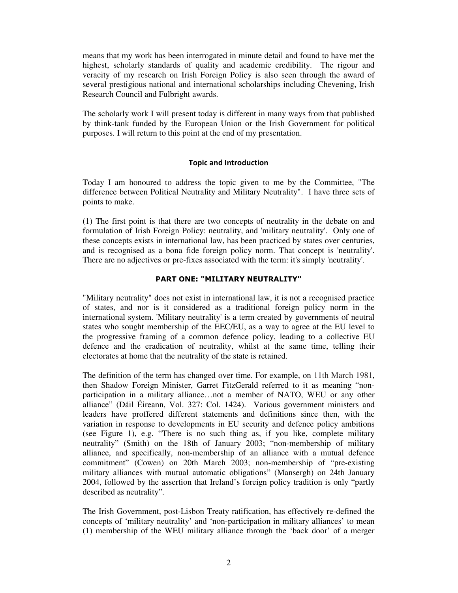means that my work has been interrogated in minute detail and found to have met the highest, scholarly standards of quality and academic credibility. The rigour and veracity of my research on Irish Foreign Policy is also seen through the award of several prestigious national and international scholarships including Chevening, Irish Research Council and Fulbright awards.

The scholarly work I will present today is different in many ways from that published by think-tank funded by the European Union or the Irish Government for political purposes. I will return to this point at the end of my presentation.

## **Topic and Introduction**

Today I am honoured to address the topic given to me by the Committee, "The difference between Political Neutrality and Military Neutrality". I have three sets of points to make.

(1) The first point is that there are two concepts of neutrality in the debate on and formulation of Irish Foreign Policy: neutrality, and 'military neutrality'. Only one of these concepts exists in international law, has been practiced by states over centuries, and is recognised as a bona fide foreign policy norm. That concept is 'neutrality'. There are no adjectives or pre-fixes associated with the term: it's simply 'neutrality'.

## **PART ONE: "MILITARY NEUTRALITY"**

"Military neutrality" does not exist in international law, it is not a recognised practice of states, and nor is it considered as a traditional foreign policy norm in the international system. 'Military neutrality' is a term created by governments of neutral states who sought membership of the EEC/EU, as a way to agree at the EU level to the progressive framing of a common defence policy, leading to a collective EU defence and the eradication of neutrality, whilst at the same time, telling their electorates at home that the neutrality of the state is retained.

The definition of the term has changed over time. For example, on 11th March 1981, then Shadow Foreign Minister, Garret FitzGerald referred to it as meaning "nonparticipation in a military alliance…not a member of NATO, WEU or any other alliance" (Dáil Éireann, Vol. 327: Col. 1424). Various government ministers and leaders have proffered different statements and definitions since then, with the variation in response to developments in EU security and defence policy ambitions (see Figure 1), e.g. "There is no such thing as, if you like, complete military neutrality" (Smith) on the 18th of January 2003; "non-membership of military alliance, and specifically, non-membership of an alliance with a mutual defence commitment" (Cowen) on 20th March 2003; non-membership of "pre-existing military alliances with mutual automatic obligations" (Mansergh) on 24th January 2004, followed by the assertion that Ireland's foreign policy tradition is only "partly described as neutrality".

The Irish Government, post-Lisbon Treaty ratification, has effectively re-defined the concepts of 'military neutrality' and 'non-participation in military alliances' to mean (1) membership of the WEU military alliance through the 'back door' of a merger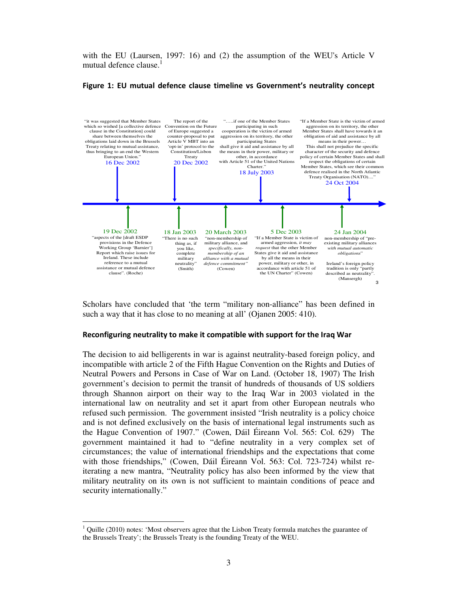with the EU (Laursen, 1997: 16) and (2) the assumption of the WEU's Article V mutual defence clause.<sup>1</sup>

#### **Figure 1: EU mutual defence clause timeline vs Government's neutrality concept**



Scholars have concluded that 'the term "military non-alliance" has been defined in such a way that it has close to no meaning at all' (Ojanen 2005: 410).

#### **Reconfiguring neutrality to make it compatible with support for the Iraq War**

The decision to aid belligerents in war is against neutrality-based foreign policy, and incompatible with article 2 of the Fifth Hague Convention on the Rights and Duties of Neutral Powers and Persons in Case of War on Land. (October 18, 1907) The Irish government's decision to permit the transit of hundreds of thousands of US soldiers through Shannon airport on their way to the Iraq War in 2003 violated in the international law on neutrality and set it apart from other European neutrals who refused such permission. The government insisted "Irish neutrality is a policy choice and is not defined exclusively on the basis of international legal instruments such as the Hague Convention of 1907." (Cowen, Dáil Éireann Vol. 565: Col. 629) The government maintained it had to "define neutrality in a very complex set of circumstances; the value of international friendships and the expectations that come with those friendships," (Cowen, Dáil Éireann Vol. 563: Col. 723-724) whilst reiterating a new mantra, "Neutrality policy has also been informed by the view that military neutrality on its own is not sufficient to maintain conditions of peace and security internationally."

-

<sup>1</sup> Quille (2010) notes: 'Most observers agree that the Lisbon Treaty formula matches the guarantee of the Brussels Treaty'; the Brussels Treaty is the founding Treaty of the WEU.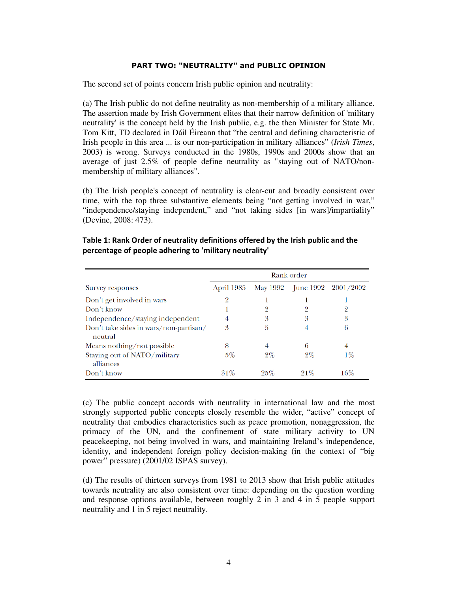#### **PART TWO: "NEUTRALITY" and PUBLIC OPINION**

The second set of points concern Irish public opinion and neutrality:

(a) The Irish public do not define neutrality as non-membership of a military alliance. The assertion made by Irish Government elites that their narrow definition of 'military neutrality' is the concept held by the Irish public, e.g. the then Minister for State Mr. Tom Kitt, TD declared in Dáil Éireann that "the central and defining characteristic of Irish people in this area ... is our non-participation in military alliances" (*Irish Times*, 2003) is wrong. Surveys conducted in the 1980s, 1990s and 2000s show that an average of just 2.5% of people define neutrality as "staying out of NATO/nonmembership of military alliances".

(b) The Irish people's concept of neutrality is clear-cut and broadly consistent over time, with the top three substantive elements being "not getting involved in war," "independence/staying independent," and "not taking sides [in wars]/impartiality" (Devine, 2008: 473).

|                                                   | Rank order |          |       |                             |  |  |  |  |
|---------------------------------------------------|------------|----------|-------|-----------------------------|--|--|--|--|
| <b>Survey responses</b>                           | April 1985 | May 1992 |       | June $1992 \quad 2001/2002$ |  |  |  |  |
| Don't get involved in wars                        | 9          |          |       |                             |  |  |  |  |
| Don't know                                        |            |          |       |                             |  |  |  |  |
| Independence/staying independent                  | 4          | 3        | 3     | 3                           |  |  |  |  |
| Don't take sides in wars/non-partisan/<br>neutral | 3          | 5        | 4     | 6                           |  |  |  |  |
| Means nothing/not possible                        | 8          | 4        | 6     | 4                           |  |  |  |  |
| Staying out of NATO/military<br>alliances         | $5\%$      | $2\%$    | $2\%$ | $1\%$                       |  |  |  |  |
| Don't know                                        | 31%        | 25%      | 21%   | 16%                         |  |  |  |  |

**Table 1: Rank Order of neutrality definitions offered by the Irish public and the percentage of people adhering to 'military neutrality'** 

(c) The public concept accords with neutrality in international law and the most strongly supported public concepts closely resemble the wider, "active" concept of neutrality that embodies characteristics such as peace promotion, nonaggression, the primacy of the UN, and the confinement of state military activity to UN peacekeeping, not being involved in wars, and maintaining Ireland's independence, identity, and independent foreign policy decision-making (in the context of "big power" pressure) (2001/02 ISPAS survey).

(d) The results of thirteen surveys from 1981 to 2013 show that Irish public attitudes towards neutrality are also consistent over time: depending on the question wording and response options available, between roughly 2 in 3 and 4 in 5 people support neutrality and 1 in 5 reject neutrality.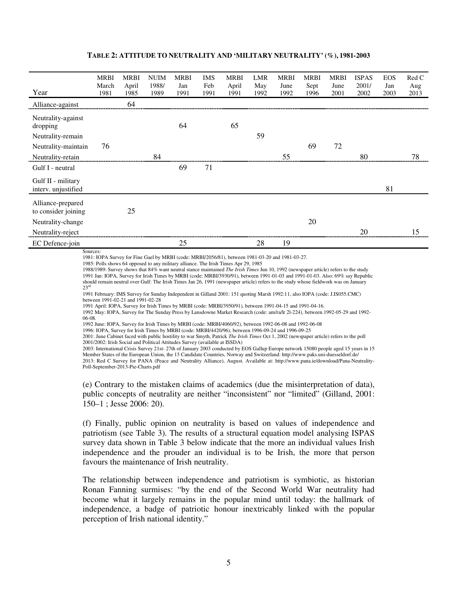#### **TABLE 2: ATTITUDE TO NEUTRALITY AND 'MILITARY NEUTRALITY' (%), 1981-2003**

| 64<br>Alliance-against<br>Neutrality-against<br>65<br>64<br>dropping<br>59<br>Neutrality-remain<br>69<br>72<br>76<br>Neutrality-maintain<br>55<br>80<br>78<br>84<br>Neutrality-retain<br>69<br>71<br>Gulf I - neutral<br>Gulf II - military<br>81<br>interv. unjustified<br>Alliance-prepared<br>25<br>to consider joining | Year              | <b>MRBI</b><br>March<br>1981 | <b>MRBI</b><br>April<br>1985 | <b>NUIM</b><br>1988/ | <b>MRBI</b><br>Jan | <b>IMS</b><br>Feb | <b>MRBI</b><br>April | LMR<br>May | <b>MRBI</b><br>June<br>1992 | <b>MRBI</b><br>Sept | <b>MRBI</b><br>June<br>2001 | <b>ISPAS</b><br>2001/ | <b>EOS</b><br>Jan<br>2003 | Red C<br>Aug |
|----------------------------------------------------------------------------------------------------------------------------------------------------------------------------------------------------------------------------------------------------------------------------------------------------------------------------|-------------------|------------------------------|------------------------------|----------------------|--------------------|-------------------|----------------------|------------|-----------------------------|---------------------|-----------------------------|-----------------------|---------------------------|--------------|
|                                                                                                                                                                                                                                                                                                                            |                   |                              |                              | 1989                 | 1991               | 1991              | 1991                 | 1992       |                             | 1996                |                             | 2002                  |                           | 2013         |
|                                                                                                                                                                                                                                                                                                                            |                   |                              |                              |                      |                    |                   |                      |            |                             |                     |                             |                       |                           |              |
|                                                                                                                                                                                                                                                                                                                            |                   |                              |                              |                      |                    |                   |                      |            |                             |                     |                             |                       |                           |              |
|                                                                                                                                                                                                                                                                                                                            |                   |                              |                              |                      |                    |                   |                      |            |                             |                     |                             |                       |                           |              |
|                                                                                                                                                                                                                                                                                                                            |                   |                              |                              |                      |                    |                   |                      |            |                             |                     |                             |                       |                           |              |
|                                                                                                                                                                                                                                                                                                                            |                   |                              |                              |                      |                    |                   |                      |            |                             |                     |                             |                       |                           |              |
|                                                                                                                                                                                                                                                                                                                            |                   |                              |                              |                      |                    |                   |                      |            |                             |                     |                             |                       |                           |              |
|                                                                                                                                                                                                                                                                                                                            |                   |                              |                              |                      |                    |                   |                      |            |                             |                     |                             |                       |                           |              |
|                                                                                                                                                                                                                                                                                                                            |                   |                              |                              |                      |                    |                   |                      |            |                             |                     |                             |                       |                           |              |
|                                                                                                                                                                                                                                                                                                                            | Neutrality-change |                              |                              |                      |                    |                   |                      |            |                             | 20                  |                             |                       |                           |              |
| 20<br>15<br>Neutrality-reject                                                                                                                                                                                                                                                                                              |                   |                              |                              |                      |                    |                   |                      |            |                             |                     |                             |                       |                           |              |
| 25<br>28<br>19<br>EC Defence-join                                                                                                                                                                                                                                                                                          |                   |                              |                              |                      |                    |                   |                      |            |                             |                     |                             |                       |                           |              |

Sources:

1981: IOPA Survey for Fine Gael by MRBI (code: MRBI/2056/81), between 1981-03-20 and 1981-03-27.

1985: Polls shows 64 opposed to any military alliance. The Irish Times Apr 29, 1985

1988/1989: Survey shows that 84% want neutral stance maintained *The Irish Times* Jun 10, 1992 (newspaper article) refers to the study 1991 Jan: IOPA, Survey for Irish Times by MRBI (code: MRBI/3930/91), between 1991-01-03 and 1991-01-03. Also: 69% say Republic should remain neutral over Gulf: The Irish Times Jan 26, 1991 (newspaper article) refers to the study whose fieldwork was on January  $23<sup>rc</sup>$ 

1991 February: IMS Survey for Sunday Independent in Gilland 2001: 151 quoting Marsh 1992:11, also IOPA (code: J.IS055.CMC) between 1991-02-21 and 1991-02-28

1991 April: IOPA, Survey for Irish Times by MRBI (code: MRBI/3950/91), between 1991-04-15 and 1991-04-16.

1992 May: IOPA, Survey for The Sunday Press by Lansdowne Market Research (code: am/ra/lr 2l-224), between 1992-05-29 and 1992- 06-08.

1992 June: IOPA, Survey for Irish Times by MRBI (code: MRBI/4060/92), between 1992-06-08 and 1992-06-08

1996: IOPA, Survey for Irish Times by MRBI (code: MRBI/4420/96), between 1996-09-24 and 1996-09-25

2001: June Cabinet faced with public hostility to war Smyth, Patrick *The Irish Times* Oct 1, 2002 (newspaper article) refers to the poll 2001/2002: Irish Social and Political Attitudes Survey (available at ISSDA)

2003: International Crisis Survey 21st- 27th of January 2003 conducted by EOS Gallup Europe network 15080 people aged 15 years in 15 Member States of the European Union, the 13 Candidate Countries, Norway and Switzerland: http://www.paks.uni-duesseldorf.de/ 2013: Red C Survey for PANA (Peace and Neutrality Alliance), August. Available at: http://www.pana.ie/download/Pana-Neutrality-Poll-September-2013-Pie-Charts.pdf

(e) Contrary to the mistaken claims of academics (due the misinterpretation of data), public concepts of neutrality are neither "inconsistent" nor "limited" (Gilland, 2001: 150–1 ; Jesse 2006: 20).

(f) Finally, public opinion on neutrality is based on values of independence and patriotism (see Table 3). The results of a structural equation model analysing ISPAS survey data shown in Table 3 below indicate that the more an individual values Irish independence and the prouder an individual is to be Irish, the more that person favours the maintenance of Irish neutrality.

The relationship between independence and patriotism is symbiotic, as historian Ronan Fanning surmises: "by the end of the Second World War neutrality had become what it largely remains in the popular mind until today: the hallmark of independence, a badge of patriotic honour inextricably linked with the popular perception of Irish national identity."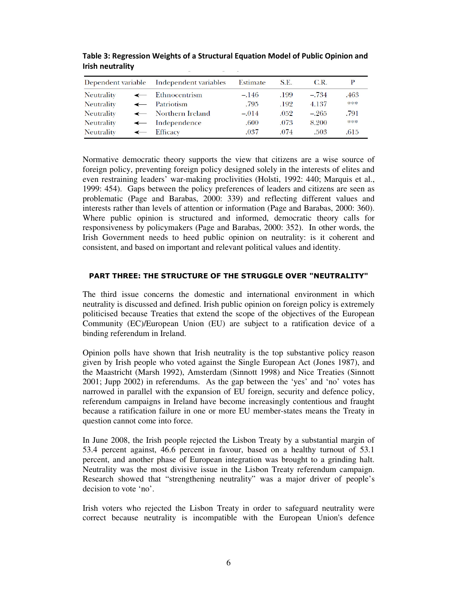| Dependent variable |              | Independent variables     | Estimate | S.E. | C.R.    |      |
|--------------------|--------------|---------------------------|----------|------|---------|------|
| <b>Neutrality</b>  | $\leftarrow$ | Ethnocentrism             | $-.146$  | .199 | $-.734$ | .463 |
| <b>Neutrality</b>  |              | $\leftarrow$ Patriotism   | .795     | .192 | 4.137   | ***  |
| <b>Neutrality</b>  |              | ← Northern Ireland        | $-.014$  | .052 | $-.265$ | .791 |
| <b>Neutrality</b>  |              | $\leftarrow$ Independence | .600     | .073 | 8.200   | ***  |
| <b>Neutrality</b>  | $\leftarrow$ | Efficacy                  | .037     | .074 | .503    | .615 |

**Table 3: Regression Weights of a Structural Equation Model of Public Opinion and Irish neutrality** 

Normative democratic theory supports the view that citizens are a wise source of foreign policy, preventing foreign policy designed solely in the interests of elites and even restraining leaders' war-making proclivities (Holsti, 1992: 440; Marquis et al., 1999: 454). Gaps between the policy preferences of leaders and citizens are seen as problematic (Page and Barabas, 2000: 339) and reflecting different values and interests rather than levels of attention or information (Page and Barabas, 2000: 360). Where public opinion is structured and informed, democratic theory calls for responsiveness by policymakers (Page and Barabas, 2000: 352). In other words, the Irish Government needs to heed public opinion on neutrality: is it coherent and consistent, and based on important and relevant political values and identity.

## **PART THREE: THE STRUCTURE OF THE STRUGGLE OVER "NEUTRALITY"**

The third issue concerns the domestic and international environment in which neutrality is discussed and defined. Irish public opinion on foreign policy is extremely politicised because Treaties that extend the scope of the objectives of the European Community (EC)/European Union (EU) are subject to a ratification device of a binding referendum in Ireland.

Opinion polls have shown that Irish neutrality is the top substantive policy reason given by Irish people who voted against the Single European Act (Jones 1987), and the Maastricht (Marsh 1992), Amsterdam (Sinnott 1998) and Nice Treaties (Sinnott 2001; Jupp 2002) in referendums. As the gap between the 'yes' and 'no' votes has narrowed in parallel with the expansion of EU foreign, security and defence policy, referendum campaigns in Ireland have become increasingly contentious and fraught because a ratification failure in one or more EU member-states means the Treaty in question cannot come into force.

In June 2008, the Irish people rejected the Lisbon Treaty by a substantial margin of 53.4 percent against, 46.6 percent in favour, based on a healthy turnout of 53.1 percent, and another phase of European integration was brought to a grinding halt. Neutrality was the most divisive issue in the Lisbon Treaty referendum campaign. Research showed that "strengthening neutrality" was a major driver of people's decision to vote 'no'.

Irish voters who rejected the Lisbon Treaty in order to safeguard neutrality were correct because neutrality is incompatible with the European Union's defence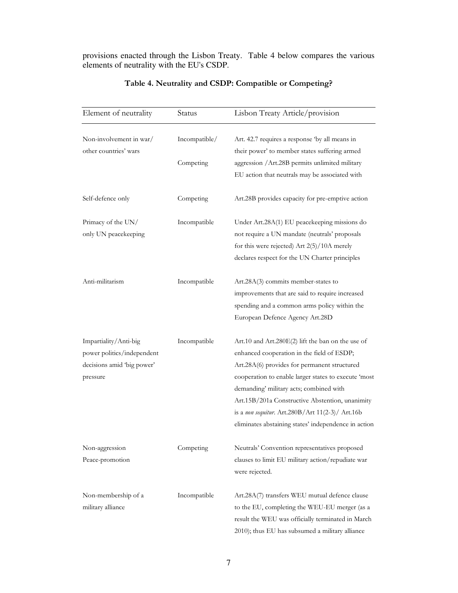provisions enacted through the Lisbon Treaty. Table 4 below compares the various elements of neutrality with the EU's CSDP.

| Element of neutrality                                                                         | Status                     | Lisbon Treaty Article/provision                                                                                                                                                                                                                                                                                                                                                                                      |
|-----------------------------------------------------------------------------------------------|----------------------------|----------------------------------------------------------------------------------------------------------------------------------------------------------------------------------------------------------------------------------------------------------------------------------------------------------------------------------------------------------------------------------------------------------------------|
| Non-involvement in war/<br>other countries' wars                                              | Incompatible/<br>Competing | Art. 42.7 requires a response 'by all means in<br>their power' to member states suffering armed<br>aggression /Art.28B permits unlimited military<br>EU action that neutrals may be associated with                                                                                                                                                                                                                  |
| Self-defence only                                                                             | Competing                  | Art.28B provides capacity for pre-emptive action                                                                                                                                                                                                                                                                                                                                                                     |
| Primacy of the UN/<br>only UN peacekeeping                                                    | Incompatible               | Under Art.28A(1) EU peacekeeping missions do<br>not require a UN mandate (neutrals' proposals<br>for this were rejected) Art $2(5)/10A$ merely<br>declares respect for the UN Charter principles                                                                                                                                                                                                                     |
| Anti-militarism                                                                               | Incompatible               | Art.28A(3) commits member-states to<br>improvements that are said to require increased<br>spending and a common arms policy within the<br>European Defence Agency Art.28D                                                                                                                                                                                                                                            |
| Impartiality/Anti-big<br>power politics/independent<br>decisions amid 'big power'<br>pressure | Incompatible               | Art.10 and Art.280 $E(2)$ lift the ban on the use of<br>enhanced cooperation in the field of ESDP;<br>Art.28A(6) provides for permanent structured<br>cooperation to enable larger states to execute 'most<br>demanding' military acts; combined with<br>Art.15B/201a Constructive Abstention, unanimity<br>is a non sequitur. Art.280B/Art 11(2-3)/ Art.16b<br>eliminates abstaining states' independence in action |
| Non-aggression<br>Peace-promotion                                                             | Competing                  | Neutrals' Convention representatives proposed<br>clauses to limit EU military action/repudiate war<br>were rejected.                                                                                                                                                                                                                                                                                                 |
| Non-membership of a<br>military alliance                                                      | Incompatible               | Art.28A(7) transfers WEU mutual defence clause<br>to the EU, completing the WEU-EU merger (as a<br>result the WEU was officially terminated in March<br>2010); thus EU has subsumed a military alliance                                                                                                                                                                                                              |

## **Table 4. Neutrality and CSDP: Compatible or Competing?**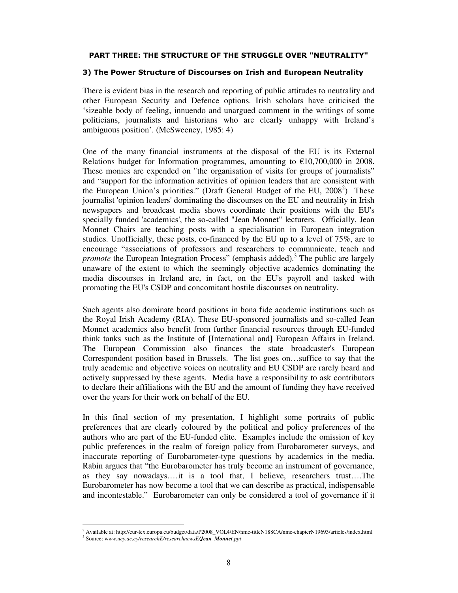#### **PART THREE: THE STRUCTURE OF THE STRUGGLE OVER "NEUTRALITY"**

#### **3) The Power Structure of Discourses on Irish and European Neutrality**

There is evident bias in the research and reporting of public attitudes to neutrality and other European Security and Defence options. Irish scholars have criticised the 'sizeable body of feeling, innuendo and unargued comment in the writings of some politicians, journalists and historians who are clearly unhappy with Ireland's ambiguous position'. (McSweeney, 1985: 4)

One of the many financial instruments at the disposal of the EU is its External Relations budget for Information programmes, amounting to  $\epsilon$ 10,700,000 in 2008. These monies are expended on "the organisation of visits for groups of journalists" and "support for the information activities of opinion leaders that are consistent with the European Union's priorities." (Draft General Budget of the EU,  $2008^2$ ) These journalist 'opinion leaders' dominating the discourses on the EU and neutrality in Irish newspapers and broadcast media shows coordinate their positions with the EU's specially funded 'academics', the so-called "Jean Monnet" lecturers. Officially, Jean Monnet Chairs are teaching posts with a specialisation in European integration studies. Unofficially, these posts, co-financed by the EU up to a level of 75%, are to encourage "associations of professors and researchers to communicate, teach and *promote* the European Integration Process" (emphasis added).<sup>3</sup> The public are largely unaware of the extent to which the seemingly objective academics dominating the media discourses in Ireland are, in fact, on the EU's payroll and tasked with promoting the EU's CSDP and concomitant hostile discourses on neutrality.

Such agents also dominate board positions in bona fide academic institutions such as the Royal Irish Academy (RIA). These EU-sponsored journalists and so-called Jean Monnet academics also benefit from further financial resources through EU-funded think tanks such as the Institute of [International and] European Affairs in Ireland. The European Commission also finances the state broadcaster's European Correspondent position based in Brussels. The list goes on…suffice to say that the truly academic and objective voices on neutrality and EU CSDP are rarely heard and actively suppressed by these agents. Media have a responsibility to ask contributors to declare their affiliations with the EU and the amount of funding they have received over the years for their work on behalf of the EU.

In this final section of my presentation, I highlight some portraits of public preferences that are clearly coloured by the political and policy preferences of the authors who are part of the EU-funded elite. Examples include the omission of key public preferences in the realm of foreign policy from Eurobarometer surveys, and inaccurate reporting of Eurobarometer-type questions by academics in the media. Rabin argues that "the Eurobarometer has truly become an instrument of governance, as they say nowadays.…it is a tool that, I believe, researchers trust….The Eurobarometer has now become a tool that we can describe as practical, indispensable and incontestable." Eurobarometer can only be considered a tool of governance if it

-

<sup>2</sup> Available at: http://eur-lex.europa.eu/budget/data/P2008\_VOL4/EN/nmc-titleN188CA/nmc-chapterN19693/articles/index.html

<sup>3</sup> Source: w*ww.ucy.ac.cy/researchE/researchnewsE/Jean\_Monnet.ppt*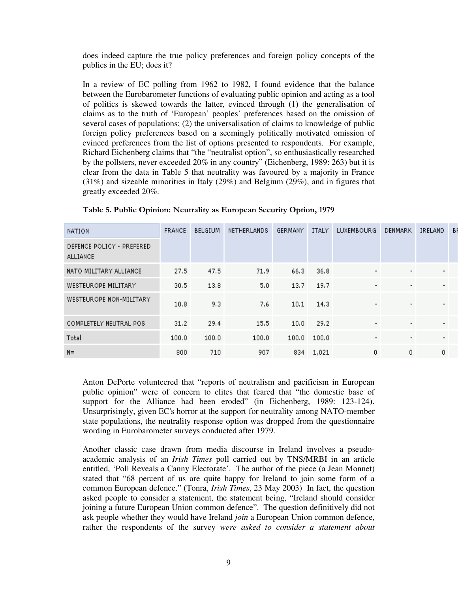does indeed capture the true policy preferences and foreign policy concepts of the publics in the EU; does it?

In a review of EC polling from 1962 to 1982, I found evidence that the balance between the Eurobarometer functions of evaluating public opinion and acting as a tool of politics is skewed towards the latter, evinced through (1) the generalisation of claims as to the truth of 'European' peoples' preferences based on the omission of several cases of populations; (2) the universalisation of claims to knowledge of public foreign policy preferences based on a seemingly politically motivated omission of evinced preferences from the list of options presented to respondents. For example, Richard Eichenberg claims that "the "neutralist option", so enthusiastically researched by the pollsters, never exceeded 20% in any country" (Eichenberg, 1989: 263) but it is clear from the data in Table 5 that neutrality was favoured by a majority in France (31%) and sizeable minorities in Italy (29%) and Belgium (29%), and in figures that greatly exceeded 20%.

| <b>NATION</b>                         | <b>FRANCE</b> | <b>BELGIUM</b> | NETHER LANDS | GERMANY | <b>ITALY</b> | LUXEMBOURG               | <b>DENMARK</b> | IRELAND        | В |
|---------------------------------------|---------------|----------------|--------------|---------|--------------|--------------------------|----------------|----------------|---|
| DEFENCE POLICY - PREFERED<br>ALLIANCE |               |                |              |         |              |                          |                |                |   |
| NATO MILITARY ALLIANCE                | 27.5          | 47.5           | 71.9         | 66.3    | 36.8         | $\overline{\phantom{a}}$ |                | ٠              |   |
| WESTEUROPE MILITARY                   | 30.5          | 13.8           | 5.0          | 13.7    | 19.7         | $\overline{\phantom{a}}$ | $\blacksquare$ | $\blacksquare$ |   |
| WESTEUROPE NON-MILITARY               | 10.8          | 9.3            | 7.6          | 10.1    | 14.3         | $\overline{\phantom{a}}$ |                | ٠              |   |
| COMPLETELY NEUTRAL POS                | 31.2          | 29.4           | 15.5         | 10.0    | 29.2         | ۰                        | ٠              | ٠              |   |
| Total                                 | 100.0         | 100.0          | 100.0        | 100.0   | 100.0        | $\overline{\phantom{a}}$ | $\blacksquare$ | ٠              |   |
| $N =$                                 | 800           | 710            | 907          | 834     | 1,021        | 0                        | 0.             | 0              |   |

**Table 5. Public Opinion: Neutrality as European Security Option, 1979**

Anton DePorte volunteered that "reports of neutralism and pacificism in European public opinion" were of concern to elites that feared that "the domestic base of support for the Alliance had been eroded" (in Eichenberg, 1989: 123-124). Unsurprisingly, given EC's horror at the support for neutrality among NATO-member state populations, the neutrality response option was dropped from the questionnaire wording in Eurobarometer surveys conducted after 1979.

Another classic case drawn from media discourse in Ireland involves a pseudoacademic analysis of an *Irish Times* poll carried out by TNS/MRBI in an article entitled, 'Poll Reveals a Canny Electorate'. The author of the piece (a Jean Monnet) stated that "68 percent of us are quite happy for Ireland to join some form of a common European defence." (Tonra, *Irish Times*, 23 May 2003) In fact, the question asked people to consider a statement, the statement being, "Ireland should consider joining a future European Union common defence". The question definitively did not ask people whether they would have Ireland *join* a European Union common defence, rather the respondents of the survey *were asked to consider a statement about*